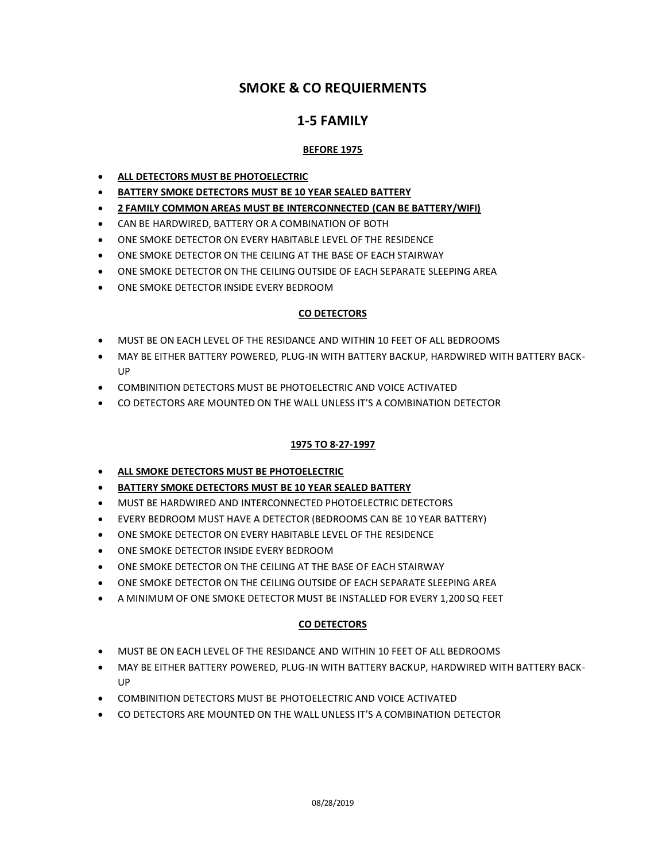# **SMOKE & CO REQUIERMENTS**

# **1-5 FAMILY**

# **BEFORE 1975**

- **ALL DETECTORS MUST BE PHOTOELECTRIC**
- **BATTERY SMOKE DETECTORS MUST BE 10 YEAR SEALED BATTERY**
- **2 FAMILY COMMON AREAS MUST BE INTERCONNECTED (CAN BE BATTERY/WIFI)**
- CAN BE HARDWIRED, BATTERY OR A COMBINATION OF BOTH
- ONE SMOKE DETECTOR ON EVERY HABITABLE LEVEL OF THE RESIDENCE
- ONE SMOKE DETECTOR ON THE CEILING AT THE BASE OF EACH STAIRWAY
- ONE SMOKE DETECTOR ON THE CEILING OUTSIDE OF EACH SEPARATE SLEEPING AREA
- ONE SMOKE DETECTOR INSIDE EVERY BEDROOM

## **CO DETECTORS**

- MUST BE ON EACH LEVEL OF THE RESIDANCE AND WITHIN 10 FEET OF ALL BEDROOMS
- MAY BE EITHER BATTERY POWERED, PLUG-IN WITH BATTERY BACKUP, HARDWIRED WITH BATTERY BACK-UP
- COMBINITION DETECTORS MUST BE PHOTOELECTRIC AND VOICE ACTIVATED
- CO DETECTORS ARE MOUNTED ON THE WALL UNLESS IT'S A COMBINATION DETECTOR

#### **1975 TO 8-27-1997**

- **ALL SMOKE DETECTORS MUST BE PHOTOELECTRIC**
- **BATTERY SMOKE DETECTORS MUST BE 10 YEAR SEALED BATTERY**
- MUST BE HARDWIRED AND INTERCONNECTED PHOTOELECTRIC DETECTORS
- EVERY BEDROOM MUST HAVE A DETECTOR (BEDROOMS CAN BE 10 YEAR BATTERY)
- ONE SMOKE DETECTOR ON EVERY HABITABLE LEVEL OF THE RESIDENCE
- ONE SMOKE DETECTOR INSIDE EVERY BEDROOM
- ONE SMOKE DETECTOR ON THE CEILING AT THE BASE OF EACH STAIRWAY
- ONE SMOKE DETECTOR ON THE CEILING OUTSIDE OF EACH SEPARATE SLEEPING AREA
- A MINIMUM OF ONE SMOKE DETECTOR MUST BE INSTALLED FOR EVERY 1,200 SQ FEET

## **CO DETECTORS**

- MUST BE ON EACH LEVEL OF THE RESIDANCE AND WITHIN 10 FEET OF ALL BEDROOMS
- MAY BE EITHER BATTERY POWERED, PLUG-IN WITH BATTERY BACKUP, HARDWIRED WITH BATTERY BACK-**UP**
- COMBINITION DETECTORS MUST BE PHOTOELECTRIC AND VOICE ACTIVATED
- CO DETECTORS ARE MOUNTED ON THE WALL UNLESS IT'S A COMBINATION DETECTOR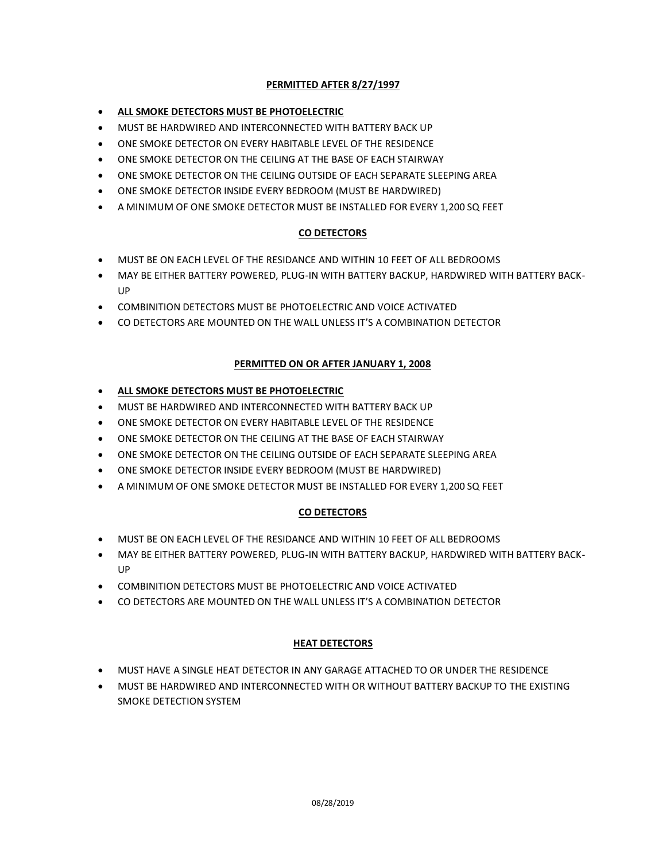## **PERMITTED AFTER 8/27/1997**

### **ALL SMOKE DETECTORS MUST BE PHOTOELECTRIC**

- MUST BE HARDWIRED AND INTERCONNECTED WITH BATTERY BACK UP
- ONE SMOKE DETECTOR ON EVERY HABITABLE LEVEL OF THE RESIDENCE
- ONE SMOKE DETECTOR ON THE CEILING AT THE BASE OF EACH STAIRWAY
- ONE SMOKE DETECTOR ON THE CEILING OUTSIDE OF EACH SEPARATE SLEEPING AREA
- ONE SMOKE DETECTOR INSIDE EVERY BEDROOM (MUST BE HARDWIRED)
- A MINIMUM OF ONE SMOKE DETECTOR MUST BE INSTALLED FOR EVERY 1,200 SQ FEET

## **CO DETECTORS**

- MUST BE ON EACH LEVEL OF THE RESIDANCE AND WITHIN 10 FEET OF ALL BEDROOMS
- MAY BE EITHER BATTERY POWERED, PLUG-IN WITH BATTERY BACKUP, HARDWIRED WITH BATTERY BACK-UP
- COMBINITION DETECTORS MUST BE PHOTOELECTRIC AND VOICE ACTIVATED
- CO DETECTORS ARE MOUNTED ON THE WALL UNLESS IT'S A COMBINATION DETECTOR

## **PERMITTED ON OR AFTER JANUARY 1, 2008**

- **ALL SMOKE DETECTORS MUST BE PHOTOELECTRIC**
- MUST BE HARDWIRED AND INTERCONNECTED WITH BATTERY BACK UP
- ONE SMOKE DETECTOR ON EVERY HABITABLE LEVEL OF THE RESIDENCE
- ONE SMOKE DETECTOR ON THE CEILING AT THE BASE OF EACH STAIRWAY
- ONE SMOKE DETECTOR ON THE CEILING OUTSIDE OF EACH SEPARATE SLEEPING AREA
- ONE SMOKE DETECTOR INSIDE EVERY BEDROOM (MUST BE HARDWIRED)
- A MINIMUM OF ONE SMOKE DETECTOR MUST BE INSTALLED FOR EVERY 1,200 SQ FEET

## **CO DETECTORS**

- MUST BE ON EACH LEVEL OF THE RESIDANCE AND WITHIN 10 FEET OF ALL BEDROOMS
- MAY BE EITHER BATTERY POWERED, PLUG-IN WITH BATTERY BACKUP, HARDWIRED WITH BATTERY BACK-UP
- COMBINITION DETECTORS MUST BE PHOTOELECTRIC AND VOICE ACTIVATED
- CO DETECTORS ARE MOUNTED ON THE WALL UNLESS IT'S A COMBINATION DETECTOR

## **HEAT DETECTORS**

- MUST HAVE A SINGLE HEAT DETECTOR IN ANY GARAGE ATTACHED TO OR UNDER THE RESIDENCE
- MUST BE HARDWIRED AND INTERCONNECTED WITH OR WITHOUT BATTERY BACKUP TO THE EXISTING SMOKE DETECTION SYSTEM